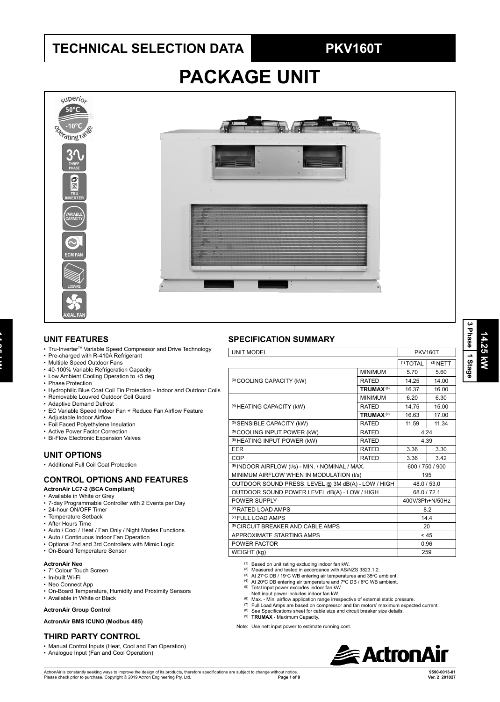### **TECHNICAL SELECTION DATA PKV160T**

# **PACKAGE UNIT**



#### **UNIT FEATURES**

- Tru-Inverter™ Variable Speed Compressor and Drive Technology
- Pre-charged with R-410A Refrigerant
- Multiple Speed Outdoor Fans
- 40-100% Variable Refrigeration Capacity
- Low Ambient Cooling Operation to +5 deg
- Phase Protection

**14.25 kW**<br>25.25 kW

- Hydrophilic Blue Coat Coil Fin Protection Indoor and Outdoor Coils
- Removable Louvred Outdoor Coil Guard
- Adaptive Demand Defrost
- EC Variable Speed Indoor Fan + Reduce Fan Airflow Feature
- Adjustable Indoor Airflow
- Foil Faced Polyethylene Insulation
- Active Power Factor Correction
- Bi-Flow Electronic Expansion Valves

#### **UNIT OPTIONS**

### • Additional Full Coil Coat Protection

### **CONTROL OPTIONS AND FEATURES**

#### **ActronAir LC7-2 (BCA Compliant)**

- Available in White or Grey
- 7-day Programmable Controller with 2 Events per Day
- 24-hour ON/OFF Timer
- Temperature Setback
- After Hours Time
- Auto / Cool / Heat / Fan Only / Night Modes Functions
- Auto / Continuous Indoor Fan Operation
- Optional 2nd and 3rd Controllers with Mimic Logic • On-Board Temperature Sensor
- 

#### **ActronAir Neo**

- 7" Colour Touch Screen
- In-built Wi-Fi
- Neo Connect App
- On-Board Temperature, Humidity and Proximity Sensors
- Available in White or Black

#### **ActronAir Group Control**

**ActronAir BMS ICUNO (Modbus 485)**

### **THIRD PARTY CONTROL**

- Manual Control Inputs (Heat, Cool and Fan Operation)
- Analogue Input (Fan and Cool Operation)

#### **SPECIFICATION SUMMARY**

| <b>UNIT MODEL</b>                                           |                             |                      | <b>PKV160T</b>  |  |  |
|-------------------------------------------------------------|-----------------------------|----------------------|-----------------|--|--|
|                                                             |                             | <sup>(1)</sup> TOTAL | $(2)$ NETT      |  |  |
|                                                             | <b>MINIMUM</b>              | 5.70                 | 5.60            |  |  |
| (3) COOLING CAPACITY (kW)                                   | <b>RATED</b>                | 14.25                | 14.00           |  |  |
|                                                             | <b>TRUMAX<sup>(9)</sup></b> | 16.37                | 16.00           |  |  |
|                                                             | <b>MINIMUM</b>              | 6.20                 | 6.30            |  |  |
| (4) HEATING CAPACITY (kW)                                   | <b>RATED</b>                | 14.75                | 15.00           |  |  |
|                                                             | <b>TRUMAX<sup>(9)</sup></b> | 16.63                | 17.00           |  |  |
| (3) SENSIBLE CAPACITY (kW)                                  | <b>RATED</b>                | 11.59                | 11.34           |  |  |
| <sup>(5)</sup> COOLING INPUT POWER (kW)                     | <b>RATED</b>                | 4.24                 |                 |  |  |
| <sup>(5)</sup> HEATING INPUT POWER (kW)                     | <b>RATED</b>                |                      | 4.39            |  |  |
| <b>EER</b>                                                  | <b>RATED</b>                | 3.36                 | 3.30            |  |  |
| COP                                                         | <b>RATED</b>                | 3.36                 | 3.42            |  |  |
| <sup>(6)</sup> INDOOR AIRFLOW (I/s) - MIN. / NOMINAL / MAX. |                             |                      | 600 / 750 / 900 |  |  |
| MINIMUM AIRFLOW WHEN IN MODULATION (I/s)                    |                             | 195                  |                 |  |  |
| OUTDOOR SOUND PRESS. LEVEL @ 3M dB(A) - LOW / HIGH          |                             | 48.0 / 53.0          |                 |  |  |
| OUTDOOR SOUND POWER LEVEL dB(A) - LOW / HIGH                |                             | 68.0 / 72.1          |                 |  |  |
| POWER SUPPLY                                                |                             | 400V/3Ph+N/50Hz      |                 |  |  |
| <sup>(2)</sup> RATED LOAD AMPS                              |                             |                      | 8.2             |  |  |
| <sup>(7)</sup> FULL LOAD AMPS                               |                             |                      | 14.4            |  |  |
| <sup>(8)</sup> CIRCUIT BREAKER AND CABLE AMPS               |                             | 20                   |                 |  |  |
| APPROXIMATE STARTING AMPS                                   |                             |                      | < 45            |  |  |
| POWER FACTOR                                                |                             |                      | 0.96            |  |  |
| WEIGHT (kg)                                                 |                             | 259                  |                 |  |  |
|                                                             |                             |                      |                 |  |  |

(1) Based on unit rating excluding indoor fan kW.

- <sup>(2)</sup> Measured and tested in accordance with AS/NZS 3823.1.2.<br><sup>(3)</sup> At 27℃ DB / 19℃ WB entering air temperatures and 35℃ ambient.
- 
- <sup>(4)</sup> At 20°C DB entering air temperature and 7°C DB / 6°C WB ambient.<br><sup>(5)</sup> Total input power excludes indoor fan kW.

- Nett input power includes indoor fan kW.
- (6) Max. Min. airflow application range irrespective of external static pressure.
- (7) Full Load Amps are based on compressor and fan motors' maximum expected current.
- <sup>(8)</sup> See Specifications sheet for cable size and circuit breaker size details.<br><sup>(9)</sup> **TRUMAX** Maximum Capacity.
- Note: Use nett input power to estimate running cost.



**14.25 kW 3 Phase** Phase 1 Stage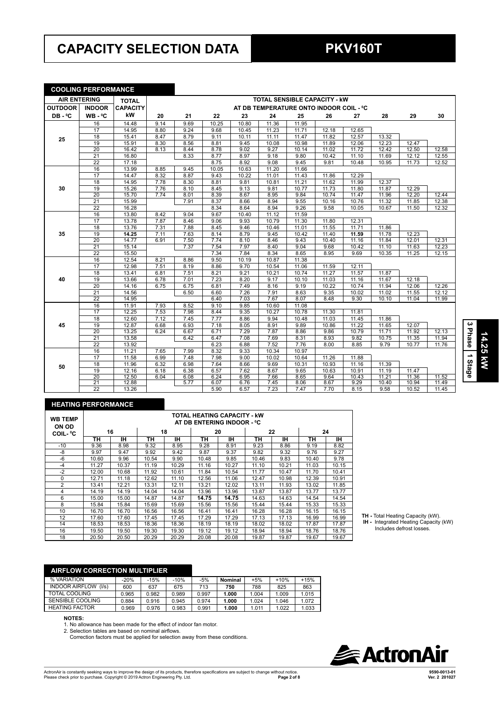## **CAPACITY SELECTION DATA PKV160T**

#### **COOLING PERFORMANCE**

| <b>AIR ENTERING</b> |                 | <b>TOTAL</b>    |      |      |       |       | <b>TOTAL SENSIBLE CAPACITY - KW</b>     |       |       |       |       |       |       |
|---------------------|-----------------|-----------------|------|------|-------|-------|-----------------------------------------|-------|-------|-------|-------|-------|-------|
| <b>OUTDOOR</b>      | <b>INDOOR</b>   | <b>CAPACITY</b> |      |      |       |       | AT DB TEMPERATURE ONTO INDOOR COIL - °C |       |       |       |       |       |       |
| DB-°C               | $WB - C$        | kW              | 20   | 21   | 22    | 23    | 24                                      | 25    | 26    | 27    | 28    | 29    | 30    |
|                     | 16              | 14.48           | 9.14 | 9.69 | 10.25 | 10.80 | 11.36                                   | 11.95 |       |       |       |       |       |
|                     | 17              | 14.95           | 8.80 | 9.24 | 9.68  | 10.45 | 11.23                                   | 11.71 | 12.18 | 12.65 |       |       |       |
| 25                  | 18              | 15.41           | 8.47 | 8.79 | 9.11  | 10.11 | 11.11                                   | 11.47 | 11.82 | 12.57 | 13.32 |       |       |
|                     | 19              | 15.91           | 8.30 | 8.56 | 8.81  | 9.45  | 10.08                                   | 10.98 | 11.89 | 12.06 | 12.23 | 12.47 |       |
|                     | 20              | 16.42           | 8.13 | 8.44 | 8.78  | 9.02  | 9.27                                    | 10.14 | 11.02 | 11.72 | 12.42 | 12.50 | 12.58 |
|                     | 21              | 16.80           |      | 8.33 | 8.77  | 8.97  | 9.18                                    | 9.80  | 10.42 | 11.10 | 11.69 | 12.12 | 12.55 |
|                     | $\overline{22}$ | 17.18           |      |      | 8.75  | 8.92  | 9.08                                    | 9.45  | 9.81  | 10.48 | 10.95 | 11.73 | 12.52 |
|                     | 16              | 13.99           | 8.85 | 9.45 | 10.05 | 10.63 | 11.20                                   | 11.66 |       |       |       |       |       |
|                     | 17              | 14.47           | 8.32 | 8.87 | 9.43  | 10.22 | 11.01                                   | 11.43 | 11.86 | 12.29 |       |       |       |
|                     | 18              | 14.95           | 7.78 | 8.30 | 8.81  | 9.81  | 10.81                                   | 11.21 | 11.62 | 11.99 | 12.37 |       |       |
| 30                  | 19              | 15.26           | 7.76 | 8.10 | 8.45  | 9.13  | 9.81                                    | 10.77 | 11.73 | 11.80 | 11.87 | 12.29 |       |
|                     | 20              | 15.70           | 7.74 | 8.01 | 8.39  | 8.67  | 8.95                                    | 9.84  | 10.74 | 11.47 | 11.96 | 12.20 | 12.44 |
|                     | $\overline{21}$ | 15.99           |      | 7.91 | 8.37  | 8.66  | 8.94                                    | 9.55  | 10.16 | 10.76 | 11.32 | 11.85 | 12.38 |
|                     | $\overline{22}$ | 16.28           |      |      | 8.34  | 8.64  | 8.94                                    | 9.26  | 9.58  | 10.05 | 10.67 | 11.50 | 12.32 |
|                     | 16              | 13.80           | 8.42 | 9.04 | 9.67  | 10.40 | 11.12                                   | 11.59 |       |       |       |       |       |
|                     | 17              | 13.78           | 7.87 | 8.46 | 9.06  | 9.93  | 10.79                                   | 11.30 | 11.80 | 12.31 |       |       |       |
|                     | 18              | 13.76           | 7.31 | 7.88 | 8.45  | 9.46  | 10.46                                   | 11.01 | 11.55 | 11.71 | 11.86 |       |       |
| 35                  | 19              | 14.25           | 7.11 | 7.63 | 8.14  | 8.79  | 9.45                                    | 10.42 | 11.40 | 11.59 | 11.78 | 12.23 |       |
|                     | $\overline{20}$ | 14.77           | 6.91 | 7.50 | 7.74  | 8.10  | 8.46                                    | 9.43  | 10.40 | 11.16 | 11.84 | 12.01 | 12.31 |
|                     | $\overline{21}$ | 15.14           |      | 7.37 | 7.54  | 7.97  | 8.40                                    | 9.04  | 9.68  | 10.42 | 11.10 | 11.63 | 12.23 |
|                     | $\overline{22}$ | 15.50           |      |      | 7.34  | 7.84  | 8.34                                    | 8.65  | 8.95  | 9.69  | 10.35 | 11.25 | 12.15 |
|                     | 16              | 12.54           | 8.21 | 8.86 | 9.50  | 10.19 | 10.87                                   | 11.38 |       |       |       |       |       |
|                     | 17              | 12.98           | 7.51 | 8.19 | 8.86  | 9.70  | 10.54                                   | 11.06 | 11.59 | 12.11 |       |       |       |
|                     | 18              | 13.41           | 6.81 | 7.51 | 8.21  | 9.21  | 10.21                                   | 10.74 | 11.27 | 11.57 | 11.87 |       |       |
| 40                  | 19              | 13.66           | 6.78 | 7.01 | 7.23  | 8.20  | 9.17                                    | 10.10 | 11.03 | 11.16 | 11.67 | 12.18 |       |
|                     | $\overline{20}$ | 14.16           | 6.75 | 6.75 | 6.81  | 7.49  | 8.16                                    | 9.19  | 10.22 | 10.74 | 11.94 | 12.06 | 12.26 |
|                     | $\overline{21}$ | 14.56           |      | 6.50 | 6.60  | 7.26  | 7.91                                    | 8.63  | 9.35  | 10.02 | 11.02 | 11.55 | 12.12 |
|                     | $\overline{22}$ | 14.95           |      |      | 6.40  | 7.03  | 7.67                                    | 8.07  | 8.48  | 9.30  | 10.10 | 11.04 | 11.99 |
|                     | 16              | 11.91           | 7.93 | 8.52 | 9.10  | 9.85  | 10.60                                   | 11.08 |       |       |       |       |       |
|                     | 17              | 12.25           | 7.53 | 7.98 | 8.44  | 9.35  | 10.27                                   | 10.78 | 11.30 | 11.81 |       |       |       |
|                     | 18              | 12.60           | 7.12 | 7.45 | 7.77  | 8.86  | 9.94                                    | 10.48 | 11.03 | 11.45 | 11.86 |       |       |
| 45                  | $\overline{19}$ | 12.87           | 6.68 | 6.93 | 7.18  | 8.05  | 8.91                                    | 9.89  | 10.86 | 11.22 | 11.65 | 12.07 |       |
|                     | 20              | 13.25           | 6.24 | 6.67 | 6.71  | 7.29  | 7.87                                    | 8.86  | 9.86  | 10.79 | 11.71 | 11.92 | 12.13 |
|                     | $\overline{21}$ | 13.58           |      | 6.42 | 6.47  | 7.08  | 7.69                                    | 8.31  | 8.93  | 9.82  | 10.75 | 11.35 | 11.94 |
|                     | $\overline{22}$ | 13.92           |      |      | 6.23  | 6.88  | 7.52                                    | 7.76  | 8.00  | 8.85  | 9.79  | 10.77 | 11.76 |
|                     | 16              | 11.21           | 7.65 | 7.99 | 8.32  | 9.33  | 10.34                                   | 10.97 |       |       |       |       |       |
|                     | 17              | 11.58           | 6.99 | 7.48 | 7.98  | 9.00  | 10.02                                   | 10.64 | 11.26 | 11.88 |       |       |       |
| 50                  | 18              | 11.96           | 6.32 | 6.98 | 7.64  | 8.66  | 9.69                                    | 10.31 | 10.93 | 11.16 | 11.39 |       |       |
|                     | 19              | 12.16           | 6.18 | 6.38 | 6.57  | 7.62  | 8.67                                    | 9.65  | 10.63 | 10.91 | 11.19 | 11.47 |       |
|                     | $\overline{20}$ | 12.50           | 6.04 | 6.08 | 6.24  | 6.95  | 7.66                                    | 8.65  | 9.64  | 10.43 | 11.21 | 11.36 | 11.52 |
|                     | 21              | 12.88           |      | 5.77 | 6.07  | 6.76  | 7.45                                    | 8.06  | 8.67  | 9.29  | 10.40 | 10.94 | 11.49 |
|                     | $\overline{22}$ | 13.26           |      |      | 5.90  | 6.57  | 7.23                                    | 7.47  | 7.70  | 8.15  | 9.58  | 10.52 | 11.45 |

#### **HEATING PERFORMANCE**

| <b>WB TEMP</b><br>ON OD |       |       |       |       | TOTAL HEATING CAPACITY - kW<br>AT DB ENTERING INDOOR - °C |       |       |       |       |       |
|-------------------------|-------|-------|-------|-------|-----------------------------------------------------------|-------|-------|-------|-------|-------|
| <b>COIL-</b> °C         |       | 16    |       | 18    |                                                           | 20    |       | 22    |       | 24    |
|                         | ΤН    | IН    | ΤН    | ıн    | TН                                                        | IН    | ΤН    | IН    | ΤН    | ıн    |
| $-10$                   | 9.36  | 8.98  | 9.32  | 8.95  | 9.28                                                      | 8.91  | 9.23  | 8.86  | 9.19  | 8.82  |
| -8                      | 9.97  | 9.47  | 9.92  | 9.42  | 9.87                                                      | 9.37  | 9.82  | 9.32  | 9.76  | 9.27  |
| $-6$                    | 10.60 | 9.96  | 10.54 | 9.90  | 10.48                                                     | 9.85  | 10.46 | 9.83  | 10.40 | 9.78  |
| $-4$                    | 11.27 | 10.37 | 11.19 | 10.29 | 11.16                                                     | 10.27 | 11.10 | 10.21 | 11.03 | 10.15 |
| $-2$                    | 12.00 | 10.68 | 11.92 | 10.61 | 11.84                                                     | 10.54 | 11.77 | 10.47 | 11.70 | 10.41 |
| $\Omega$                | 12.71 | 11.18 | 12.62 | 11.10 | 12.56                                                     | 11.06 | 12.47 | 10.98 | 12.39 | 10.91 |
| 2                       | 13.41 | 12.21 | 13.31 | 12.11 | 13.21                                                     | 12.02 | 13.11 | 11.93 | 13.02 | 11.85 |
| 4                       | 14.19 | 14.19 | 14.04 | 14.04 | 13.96                                                     | 13.96 | 13.87 | 13.87 | 13.77 | 13.77 |
| 6                       | 15.00 | 15.00 | 14.87 | 14.87 | 14.75                                                     | 14.75 | 14.63 | 14.63 | 14.54 | 14.54 |
| 8                       | 15.84 | 15.84 | 15.69 | 15.69 | 15.56                                                     | 15.56 | 15.44 | 15.44 | 15.33 | 15.33 |
| 10                      | 16.70 | 16.70 | 16.56 | 16.56 | 16.41                                                     | 16.41 | 16.28 | 16.28 | 16.15 | 16.15 |
| 12                      | 17.60 | 17.60 | 17.45 | 17.45 | 17.29                                                     | 17.29 | 17.13 | 17.13 | 16.99 | 16.99 |
| 14                      | 18.53 | 18.53 | 18.36 | 18.36 | 18.19                                                     | 18.19 | 18.02 | 18.02 | 17.87 | 17.87 |
| 16                      | 19.50 | 19.50 | 19.30 | 19.30 | 19.12                                                     | 19.12 | 18.94 | 18.94 | 18.76 | 18.76 |
| 18                      | 20.50 | 20.50 | 20.29 | 20.29 | 20.08                                                     | 20.08 | 19.87 | 19.87 | 19.67 | 19.67 |

**TH -** Total Heating Capacity (kW).  **IH -** Integrated Heating Capacity (kW) Includes defrost losses.

| <b>AIRFLOW CORRECTION MULTIPLIER</b> |        |        |        |       |         |       |        |        |
|--------------------------------------|--------|--------|--------|-------|---------|-------|--------|--------|
| % VARIATION                          | $-20%$ | $-15%$ | $-10%$ | $-5%$ | Nominal | $+5%$ | $+10%$ | $+15%$ |
| <b>INDOOR AIRFLOW</b><br>(1/s)       | 600    | 637    | 675    | 713   | 750     | 788   | 825    | 863    |
| TOTAL COOLING                        | 0.965  | 0.982  | 0.989  | 0.997 | 1.000   | 1.004 | 1.009  | 1.015  |
| SENSIBLE COOLING                     | 0.884  | 0.916  | 0.945  | 0.974 | 1.000   | 1.024 | 1.046  | 1.072  |
| <b>HEATING FACTOR</b>                | 0.969  | 0.976  | 0.983  | 0.991 | 1.000   | 1.011 | 1.022  | 1.033  |

#### **NOTES:**

1. No allowance has been made for the effect of indoor fan motor.

2. Selection tables are based on nominal airflows.

Correction factors must be applied for selection away from these conditions.



**14.25 kW**

14.25 KW

**3 Phase** 3 Phase 1 Stage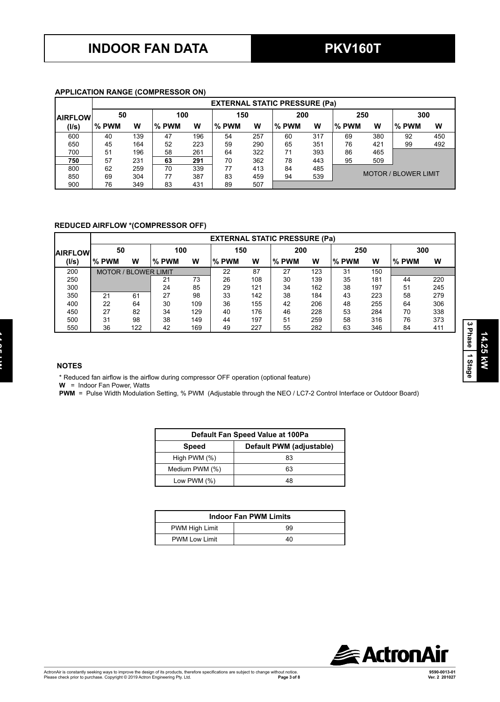#### **APPLICATION RANGE (COMPRESSOR ON)**

|                |       |     |       |     |       |     | <b>EXTERNAL STATIC PRESSURE (Pa)</b> |     |       |     |                             |     |
|----------------|-------|-----|-------|-----|-------|-----|--------------------------------------|-----|-------|-----|-----------------------------|-----|
| <b>AIRFLOW</b> | 50    |     | 100   |     | 150   |     | 200                                  |     | 250   |     | 300                         |     |
| (I/s)          | % PWM | w   | % PWM | w   | % PWM | w   | % PWM                                | w   | % PWM | w   | % PWM                       | W   |
| 600            | 40    | 139 | 47    | 196 | 54    | 257 | 60                                   | 317 | 69    | 380 | 92                          | 450 |
| 650            | 45    | 164 | 52    | 223 | 59    | 290 | 65                                   | 351 | 76    | 421 | 99                          | 492 |
| 700            | 51    | 196 | 58    | 261 | 64    | 322 | 71                                   | 393 | 86    | 465 |                             |     |
| 750            | 57    | 231 | 63    | 291 | 70    | 362 | 78                                   | 443 | 95    | 509 |                             |     |
| 800            | 62    | 259 | 70    | 339 | 77    | 413 | 84                                   | 485 |       |     |                             |     |
| 850            | 69    | 304 | 77    | 387 | 83    | 459 | 94                                   | 539 |       |     | <b>MOTOR / BLOWER LIMIT</b> |     |
| 900            | 76    | 349 | 83    | 431 | 89    | 507 |                                      |     |       |     |                             |     |

#### **REDUCED AIRFLOW \*(COMPRESSOR OFF)**

|                 |        |                             |       |     |       |     | <b>EXTERNAL STATIC PRESSURE (Pa)</b> |     |         |     |       |     |
|-----------------|--------|-----------------------------|-------|-----|-------|-----|--------------------------------------|-----|---------|-----|-------|-----|
| <b>IAIRFLOW</b> | 50     |                             | 100   |     | 150   |     | 200                                  |     | 250     |     | 300   |     |
| (I/s)           | l% PWM | w                           | % PWM | w   | % PWM | W   | $%$ PWM                              | w   | $%$ PWM | W   | % PWM | W   |
| 200             |        | <b>MOTOR / BLOWER LIMIT</b> |       |     | 22    | 87  | 27                                   | 123 | 31      | 150 |       |     |
| 250             |        |                             | 21    | 73  | 26    | 108 | 30                                   | 139 | 35      | 181 | 44    | 220 |
| 300             |        |                             | 24    | 85  | 29    | 121 | 34                                   | 162 | 38      | 197 | 51    | 245 |
| 350             | 21     | 61                          | 27    | 98  | 33    | 142 | 38                                   | 184 | 43      | 223 | 58    | 279 |
| 400             | 22     | 64                          | 30    | 109 | 36    | 155 | 42                                   | 206 | 48      | 255 | 64    | 306 |
| 450             | 27     | 82                          | 34    | 129 | 40    | 176 | 46                                   | 228 | 53      | 284 | 70    | 338 |
| 500             | 31     | 98                          | 38    | 149 | 44    | 197 | 51                                   | 259 | 58      | 316 | 76    | 373 |
| 550             | 36     | 122                         | 42    | 169 | 49    | 227 | 55                                   | 282 | 63      | 346 | 84    | 411 |

#### **NOTES**

\* Reduced fan airflow is the airflow during compressor OFF operation (optional feature)

**W** = Indoor Fan Power, Watts

**PWM** = Pulse Width Modulation Setting, % PWM (Adjustable through the NEO / LC7-2 Control Interface or Outdoor Board)

|                 | Default Fan Speed Value at 100Pa |
|-----------------|----------------------------------|
| Speed           | Default PWM (adjustable)         |
| High PWM $(\%)$ | 83                               |
| Medium PWM (%)  | 63                               |
| Low PWM $(\% )$ | 48                               |

|                      | <b>Indoor Fan PWM Limits</b> |
|----------------------|------------------------------|
| PWM High Limit       | 99                           |
| <b>PWM Low Limit</b> | 40                           |



**14.25 kW**

14.25 KW

**3 Phase**  $\begin{bmatrix} 3 \text{ Pransel} \end{bmatrix}$  i Stage

**14.25 kW**<br>25.25 kW

**COMPANY**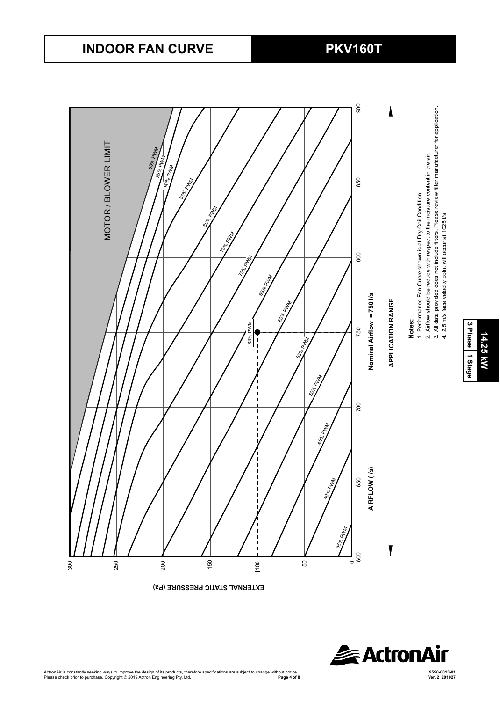

**EXTERNAL STATIC PRESSURE (Pa)** 



3 Phase 1 Stage **3 Phase** 14.25 kW **14.25 kW**

# **INDOOR FAN CURVE PKV160T**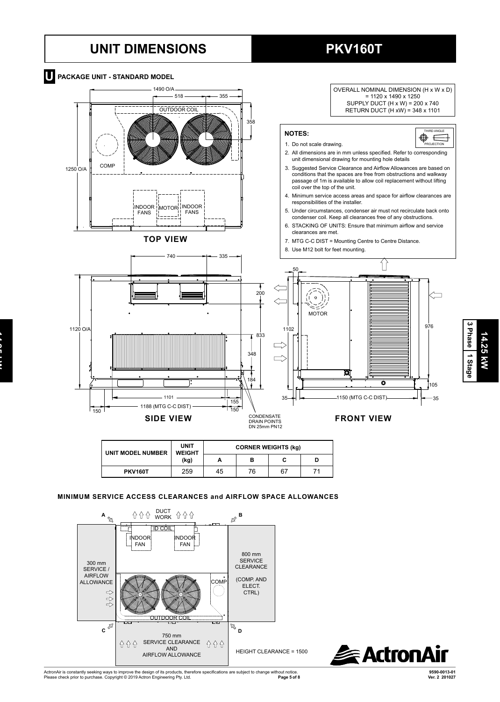### **UNIT DIMENSIONS PKV160T**

**14.25 kW**<br>25.25 kW



| UNIT MODEL NUMBER | <b>UNIT</b><br><b>WEIGHT</b> |    | <b>CORNER WEIGHTS (kg)</b> |    |  |
|-------------------|------------------------------|----|----------------------------|----|--|
|                   | (kg)                         | А  | в                          |    |  |
| <b>PKV160T</b>    | 259                          | 45 | 76                         | 67 |  |

#### **MINIMUM SERVICE ACCESS CLEARANCES and AIRFLOW SPACE ALLOWANCES**



**3 Phase**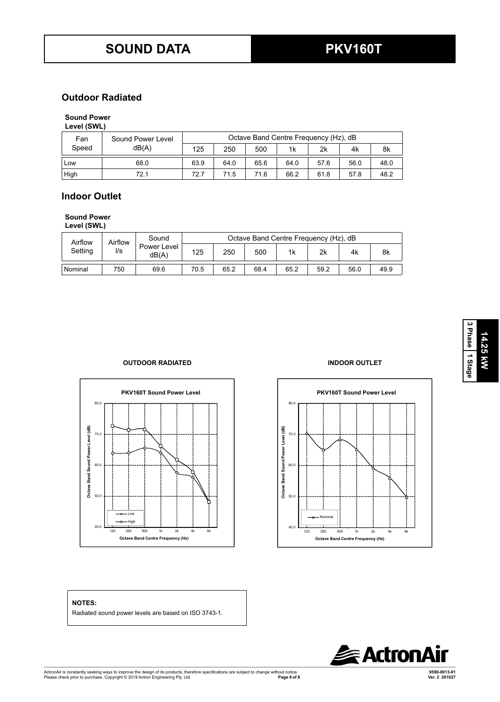### **Outdoor Radiated**

### **Sound Power**

| Level (SWL) |  |
|-------------|--|
|-------------|--|

| Fan   | Sound Power Level |      |      |      | Octave Band Centre Frequency (Hz), dB |      |      |      |
|-------|-------------------|------|------|------|---------------------------------------|------|------|------|
| Speed | dB(A)             | 125  | 250  | 500  | 1k                                    | 2k   | 4k   | 8k   |
| Low   | 68.0              | 63.9 | 64.0 | 65.6 | 64.0                                  | 57.6 | 56.0 | 48.0 |
| High  | 72.1              | 72.7 | 71.5 | 71.6 | 66.2                                  | 61.8 | 57.8 | 48.2 |

#### Indoor Outlet **Level (SWL) Level (SWL) Level (SWL) Level (SWL) Level (SWL) Level (SWL) Level (SPL)** sound **Power Level**

#### **Sound Power Level (SWL)**  $\mathcal{L}$  $\mathcal{L} = \mathcal{L} = \mathcal{L} = \mathcal{L} = \mathcal{L} = \mathcal{L} = \mathcal{L} = \mathcal{L} = \mathcal{L} = \mathcal{L} = \mathcal{L} = \mathcal{L} = \mathcal{L} = \mathcal{L} = \mathcal{L} = \mathcal{L} = \mathcal{L} = \mathcal{L} = \mathcal{L} = \mathcal{L} = \mathcal{L} = \mathcal{L} = \mathcal{L} = \mathcal{L} = \mathcal{L} = \mathcal{L} = \mathcal{L} = \mathcal{L} = \mathcal{L} = \mathcal{L} = \mathcal{L} = \mathcal$

 $H = \frac{1}{2}$ 72.1  $\mathbf{H}$ ,  $\mathbf{H}$ 72.1  $\overline{1}$  $S$ ound Airflow Airflow

| Airflow        | Airflow              | Sound |      |      | Octave Band Centre Frequency (Hz), dB |      |      |      |      |
|----------------|----------------------|-------|------|------|---------------------------------------|------|------|------|------|
| Setting<br>l/s | Power Level<br>dB(A) | 125   | 250  | 500  | 1k                                    | 2k   | 4k   | 8k   |      |
| Nominal        | 750                  | 69.6  | 70.5 | 65.2 | 68.4                                  | 65.2 | 59.2 | 56.0 | 49.9 |

#### **OUTDOOR RADIATED INDOOR OUTLET**





#### **NOTES:**

Radiated sound power levels are based on ISO 3743-1.



**14.25 kW**

14.25 KW

**3 Phase** 3 Phase 1 Stage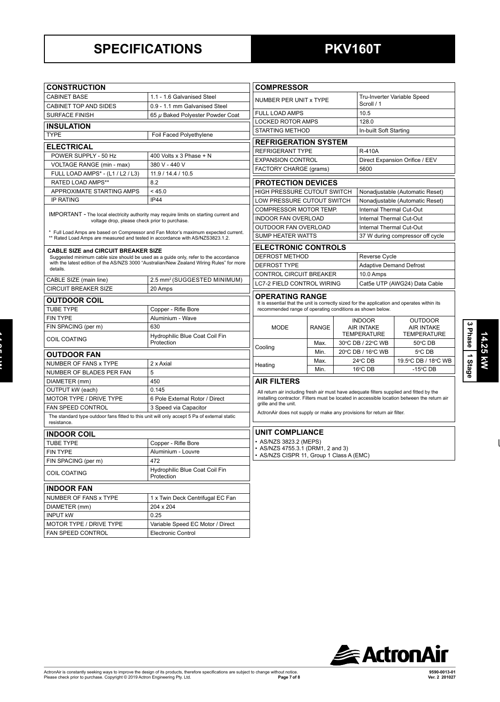## **SPECIFICATIONS PKV160T**

**14.25 kW**<br>25.25 kW

 $\frac{1}{2}$ 

| <b>CONSTRUCTION</b>                                                                                                                                                                                                                                                                                                   |                                              | <b>COMPRESSOR</b>                                                                                                    |                         |                                         |                                                                    |                                 |  |
|-----------------------------------------------------------------------------------------------------------------------------------------------------------------------------------------------------------------------------------------------------------------------------------------------------------------------|----------------------------------------------|----------------------------------------------------------------------------------------------------------------------|-------------------------|-----------------------------------------|--------------------------------------------------------------------|---------------------------------|--|
| <b>CABINET BASE</b>                                                                                                                                                                                                                                                                                                   | 1.1 - 1.6 Galvanised Steel                   | NUMBER PER UNIT x TYPE                                                                                               |                         |                                         | Tru-Inverter Variable Speed                                        |                                 |  |
| CABINET TOP AND SIDES                                                                                                                                                                                                                                                                                                 | 0.9 - 1.1 mm Galvanised Steel                |                                                                                                                      |                         |                                         | Scroll / 1                                                         |                                 |  |
| <b>SURFACE FINISH</b>                                                                                                                                                                                                                                                                                                 | 65 µ Baked Polyester Powder Coat             | <b>FULL LOAD AMPS</b>                                                                                                |                         |                                         | 10.5                                                               |                                 |  |
| <b>INSULATION</b>                                                                                                                                                                                                                                                                                                     |                                              | LOCKED ROTOR AMPS<br>128.0                                                                                           |                         |                                         |                                                                    |                                 |  |
| <b>TYPE</b><br>Foil Faced Polyethylene                                                                                                                                                                                                                                                                                |                                              | <b>STARTING METHOD</b><br>In-built Soft Starting                                                                     |                         |                                         |                                                                    |                                 |  |
|                                                                                                                                                                                                                                                                                                                       |                                              | <b>REFRIGERATION SYSTEM</b>                                                                                          |                         |                                         |                                                                    |                                 |  |
| <b>ELECTRICAL</b>                                                                                                                                                                                                                                                                                                     |                                              | REFRIGERANT TYPE<br><b>R-410A</b>                                                                                    |                         |                                         |                                                                    |                                 |  |
| POWER SUPPLY - 50 Hz                                                                                                                                                                                                                                                                                                  | 400 Volts x 3 Phase + N                      | <b>EXPANSION CONTROL</b>                                                                                             |                         |                                         | Direct Expansion Orifice / EEV                                     |                                 |  |
| VOLTAGE RANGE (min - max)                                                                                                                                                                                                                                                                                             | 380 V - 440 V                                | <b>FACTORY CHARGE (grams)</b>                                                                                        |                         |                                         | 5600                                                               |                                 |  |
| FULL LOAD AMPS* - (L1 / L2 / L3)<br>RATED LOAD AMPS**                                                                                                                                                                                                                                                                 | 11.9 / 14.4 / 10.5<br>8.2                    |                                                                                                                      |                         |                                         |                                                                    |                                 |  |
| APPROXIMATE STARTING AMPS                                                                                                                                                                                                                                                                                             |                                              | <b>PROTECTION DEVICES</b>                                                                                            |                         |                                         |                                                                    |                                 |  |
| <b>IP RATING</b>                                                                                                                                                                                                                                                                                                      | < 45.0<br><b>IP44</b>                        | HIGH PRESSURE CUTOUT SWITCH                                                                                          |                         |                                         | Nonadjustable (Automatic Reset)<br>Nonadjustable (Automatic Reset) |                                 |  |
|                                                                                                                                                                                                                                                                                                                       |                                              | LOW PRESSURE CUTOUT SWITCH                                                                                           |                         |                                         |                                                                    |                                 |  |
| <b>IMPORTANT</b> - The local electricity authority may require limits on starting current and<br>voltage drop, please check prior to purchase.<br>* Full Load Amps are based on Compressor and Fan Motor's maximum expected current.<br>** Rated Load Amps are measured and tested in accordance with AS/NZS3823.1.2. |                                              | COMPRESSOR MOTOR TEMP.                                                                                               |                         |                                         | Internal Thermal Cut-Out                                           |                                 |  |
|                                                                                                                                                                                                                                                                                                                       |                                              | <b>INDOOR FAN OVERLOAD</b>                                                                                           |                         |                                         | Internal Thermal Cut-Out                                           |                                 |  |
|                                                                                                                                                                                                                                                                                                                       |                                              | OUTDOOR FAN OVERLOAD                                                                                                 |                         |                                         | Internal Thermal Cut-Out                                           |                                 |  |
|                                                                                                                                                                                                                                                                                                                       |                                              | <b>SUMP HEATER WATTS</b><br>37 W during compressor off cycle                                                         |                         |                                         |                                                                    |                                 |  |
| <b>CABLE SIZE and CIRCUIT BREAKER SIZE</b><br>Suggested minimum cable size should be used as a guide only, refer to the accordance<br>with the latest edition of the AS/NZS 3000 "Australian/New Zealand Wiring Rules" for more                                                                                       |                                              | <b>ELECTRONIC CONTROLS</b>                                                                                           |                         |                                         |                                                                    |                                 |  |
|                                                                                                                                                                                                                                                                                                                       |                                              |                                                                                                                      | DEFROST METHOD          |                                         |                                                                    | Reverse Cycle                   |  |
| details.                                                                                                                                                                                                                                                                                                              |                                              | <b>DEFROST TYPE</b>                                                                                                  |                         |                                         | <b>Adaptive Demand Defrost</b>                                     |                                 |  |
|                                                                                                                                                                                                                                                                                                                       |                                              |                                                                                                                      | CONTROL CIRCUIT BREAKER |                                         | 10.0 Amps                                                          |                                 |  |
| CABLE SIZE (main line)                                                                                                                                                                                                                                                                                                | 2.5 mm <sup>2</sup> (SUGGESTED MINIMUM)      | LC7-2 FIELD CONTROL WIRING                                                                                           |                         |                                         | Cat5e UTP (AWG24) Data Cable                                       |                                 |  |
| <b>CIRCUIT BREAKER SIZE</b>                                                                                                                                                                                                                                                                                           | 20 Amps                                      | OPERATING RANGE                                                                                                      |                         |                                         |                                                                    |                                 |  |
| <b>OUTDOOR COIL</b>                                                                                                                                                                                                                                                                                                   |                                              | It is essential that the unit is correctly sized for the application and operates within its                         |                         |                                         |                                                                    |                                 |  |
| <b>TUBE TYPE</b>                                                                                                                                                                                                                                                                                                      | Copper - Rifle Bore                          | recommended range of operating conditions as shown below.                                                            |                         |                                         |                                                                    |                                 |  |
| <b>FIN TYPE</b>                                                                                                                                                                                                                                                                                                       | Aluminium - Wave                             |                                                                                                                      |                         |                                         |                                                                    | <b>OUTDOOR</b><br><b>INDOOR</b> |  |
| FIN SPACING (per m)                                                                                                                                                                                                                                                                                                   | 630                                          | <b>MODE</b>                                                                                                          | <b>RANGE</b>            |                                         | <b>AIR INTAKE</b><br><b>AIR INTAKE</b>                             |                                 |  |
| COIL COATING                                                                                                                                                                                                                                                                                                          | Hydrophilic Blue Coat Coil Fin<br>Protection |                                                                                                                      |                         | <b>TEMPERATURE</b><br>30°C DB / 22°C WB |                                                                    | <b>TEMPERATURE</b>              |  |
|                                                                                                                                                                                                                                                                                                                       |                                              | Cooling                                                                                                              | Max.                    | 20°C DB / 16°C WB                       |                                                                    | 50°C DB                         |  |
| <b>OUTDOOR FAN</b>                                                                                                                                                                                                                                                                                                    |                                              |                                                                                                                      | Min.<br>Max.            | 24°C DB                                 |                                                                    | 5°C DB<br>19.5°C DB / 18°C WB   |  |
| NUMBER OF FANS x TYPE                                                                                                                                                                                                                                                                                                 | 2 x Axial                                    | Heating                                                                                                              |                         |                                         | 16°C DB                                                            | $-15^{\circ}$ CDB               |  |
| NUMBER OF BLADES PER FAN                                                                                                                                                                                                                                                                                              | 5                                            |                                                                                                                      | Min.                    |                                         |                                                                    |                                 |  |
| DIAMETER (mm)                                                                                                                                                                                                                                                                                                         | 450                                          | <b>AIR FILTERS</b>                                                                                                   |                         |                                         |                                                                    |                                 |  |
| OUTPUT kW (each)                                                                                                                                                                                                                                                                                                      | 0.145                                        | All return air including fresh air must have adequate filters supplied and fitted by the                             |                         |                                         |                                                                    |                                 |  |
| MOTOR TYPE / DRIVE TYPE                                                                                                                                                                                                                                                                                               | 6 Pole External Rotor / Direct               | installing contractor. Filters must be located in accessible location between the return air<br>grille and the unit. |                         |                                         |                                                                    |                                 |  |
| FAN SPEED CONTROL                                                                                                                                                                                                                                                                                                     | 3 Speed via Capacitor                        | ActronAir does not supply or make any provisions for return air filter.                                              |                         |                                         |                                                                    |                                 |  |
| The standard type outdoor fans fitted to this unit will only accept 5 Pa of external static<br>resistance.                                                                                                                                                                                                            |                                              |                                                                                                                      |                         |                                         |                                                                    |                                 |  |
| <b>INDOOR COIL</b>                                                                                                                                                                                                                                                                                                    |                                              | <b>UNIT COMPLIANCE</b>                                                                                               |                         |                                         |                                                                    |                                 |  |
| <b>TUBE TYPE</b>                                                                                                                                                                                                                                                                                                      | Copper - Rifle Bore                          | • AS/NZS 3823.2 (MEPS)                                                                                               |                         |                                         |                                                                    |                                 |  |
| FIN TYPE                                                                                                                                                                                                                                                                                                              | Aluminium - Louvre                           | AS/NZS 4755.3.1 (DRM1, 2 and 3)<br>• AS/NZS CISPR 11, Group 1 Class A (EMC)                                          |                         |                                         |                                                                    |                                 |  |
| FIN SPACING (per m)                                                                                                                                                                                                                                                                                                   | 472                                          |                                                                                                                      |                         |                                         |                                                                    |                                 |  |
| <b>COIL COATING</b>                                                                                                                                                                                                                                                                                                   | Hydrophilic Blue Coat Coil Fin<br>Protection |                                                                                                                      |                         |                                         |                                                                    |                                 |  |
| <b>INDOOR FAN</b>                                                                                                                                                                                                                                                                                                     |                                              |                                                                                                                      |                         |                                         |                                                                    |                                 |  |
| NUMBER OF FANS x TYPE                                                                                                                                                                                                                                                                                                 | 1 x Twin Deck Centrifugal EC Fan             |                                                                                                                      |                         |                                         |                                                                    |                                 |  |
| DIAMETER (mm)                                                                                                                                                                                                                                                                                                         | 204 x 204                                    |                                                                                                                      |                         |                                         |                                                                    |                                 |  |
| <b>INPUT kW</b>                                                                                                                                                                                                                                                                                                       | 0.25                                         |                                                                                                                      |                         |                                         |                                                                    |                                 |  |
| MOTOR TYPE / DRIVE TYPE                                                                                                                                                                                                                                                                                               | Variable Speed EC Motor / Direct             |                                                                                                                      |                         |                                         |                                                                    |                                 |  |
| FAN SPEED CONTROL                                                                                                                                                                                                                                                                                                     | Electronic Control                           |                                                                                                                      |                         |                                         |                                                                    |                                 |  |
|                                                                                                                                                                                                                                                                                                                       |                                              |                                                                                                                      |                         |                                         |                                                                    |                                 |  |

 $\mathsf{l}$ 

**3 Phase**